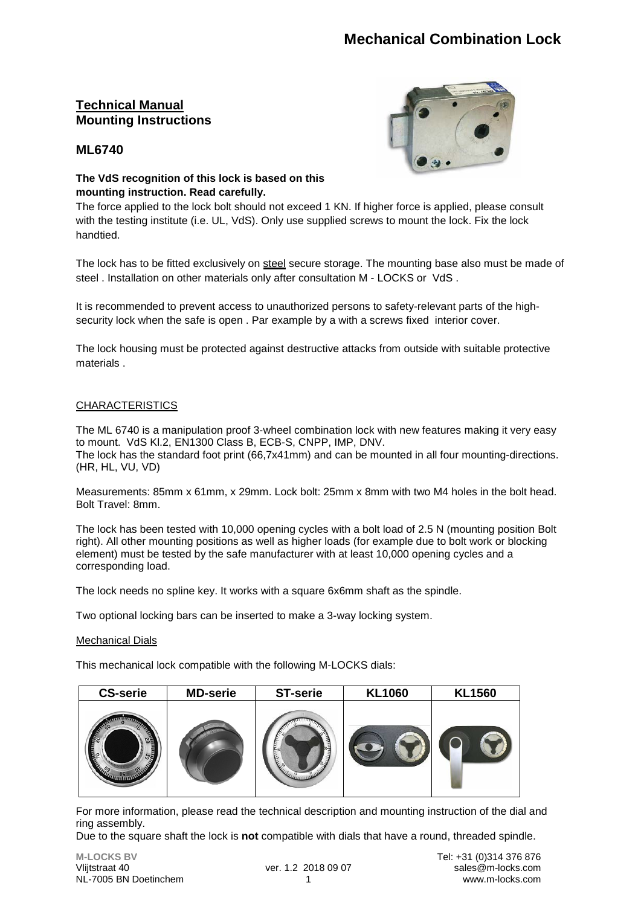## **Technical Manual Mounting Instructions**





#### **The VdS recognition of this lock is based on this mounting instruction. Read carefully.**

The force applied to the lock bolt should not exceed 1 KN. If higher force is applied, please consult with the testing institute (i.e. UL, VdS). Only use supplied screws to mount the lock. Fix the lock handtied.

The lock has to be fitted exclusively on steel secure storage. The mounting base also must be made of steel . Installation on other materials only after consultation M - LOCKS or VdS .

It is recommended to prevent access to unauthorized persons to safety-relevant parts of the highsecurity lock when the safe is open . Par example by a with a screws fixed interior cover.

The lock housing must be protected against destructive attacks from outside with suitable protective materials .

#### CHARACTERISTICS

The ML 6740 is a manipulation proof 3-wheel combination lock with new features making it very easy to mount. VdS Kl.2, EN1300 Class B, ECB-S, CNPP, IMP, DNV. The lock has the standard foot print (66,7x41mm) and can be mounted in all four mounting-directions. (HR, HL, VU, VD)

Measurements: 85mm x 61mm, x 29mm. Lock bolt: 25mm x 8mm with two M4 holes in the bolt head. Bolt Travel: 8mm.

The lock has been tested with 10,000 opening cycles with a bolt load of 2.5 N (mounting position Bolt right). All other mounting positions as well as higher loads (for example due to bolt work or blocking element) must be tested by the safe manufacturer with at least 10,000 opening cycles and a corresponding load.

The lock needs no spline key. It works with a square 6x6mm shaft as the spindle.

Two optional locking bars can be inserted to make a 3-way locking system.

#### Mechanical Dials

This mechanical lock compatible with the following M-LOCKS dials:

| <b>CS-serie</b>                         | <b>MD-serie</b> | <b>ST-serie</b> | <b>KL1060</b> | <b>KL1560</b> |
|-----------------------------------------|-----------------|-----------------|---------------|---------------|
| <b>READ</b><br><b>CALL OF SCRIPTION</b> |                 |                 |               |               |

For more information, please read the technical description and mounting instruction of the dial and ring assembly.

Due to the square shaft the lock is **not** compatible with dials that have a round, threaded spindle.

NL-7005 BN Doetinchem 1 www.m-locks.com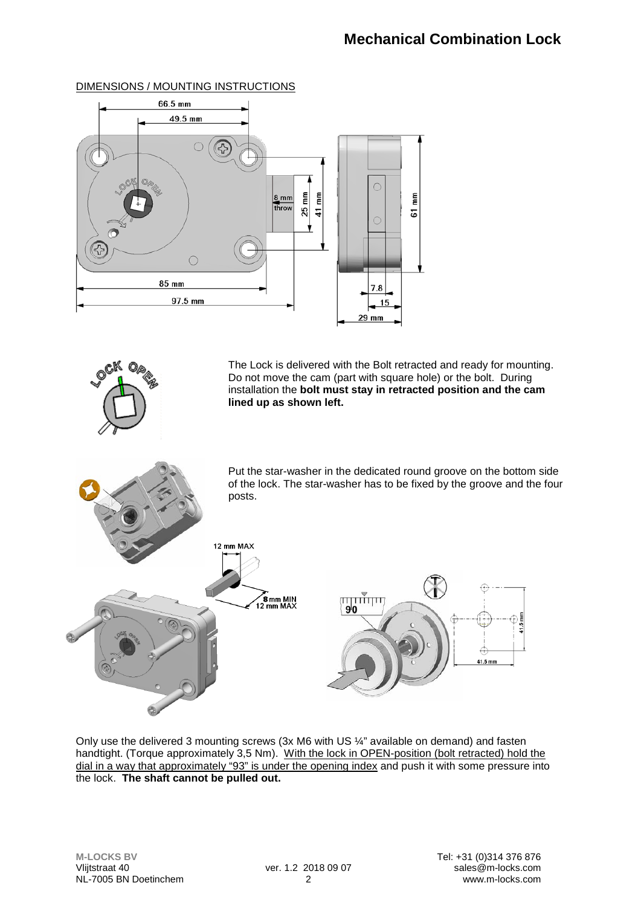

#### DIMENSIONS / MOUNTING INSTRUCTIONS



The Lock is delivered with the Bolt retracted and ready for mounting. Do not move the cam (part with square hole) or the bolt. During installation the **bolt must stay in retracted position and the cam lined up as shown left.** 

Put the star-washer in the dedicated round groove on the bottom side of the lock. The star-washer has to be fixed by the groove and the four posts.



Only use the delivered 3 mounting screws (3x M6 with US ¼" available on demand) and fasten handtight. (Torque approximately 3,5 Nm). With the lock in OPEN-position (bolt retracted) hold the dial in a way that approximately "93" is under the opening index and push it with some pressure into the lock. **The shaft cannot be pulled out.**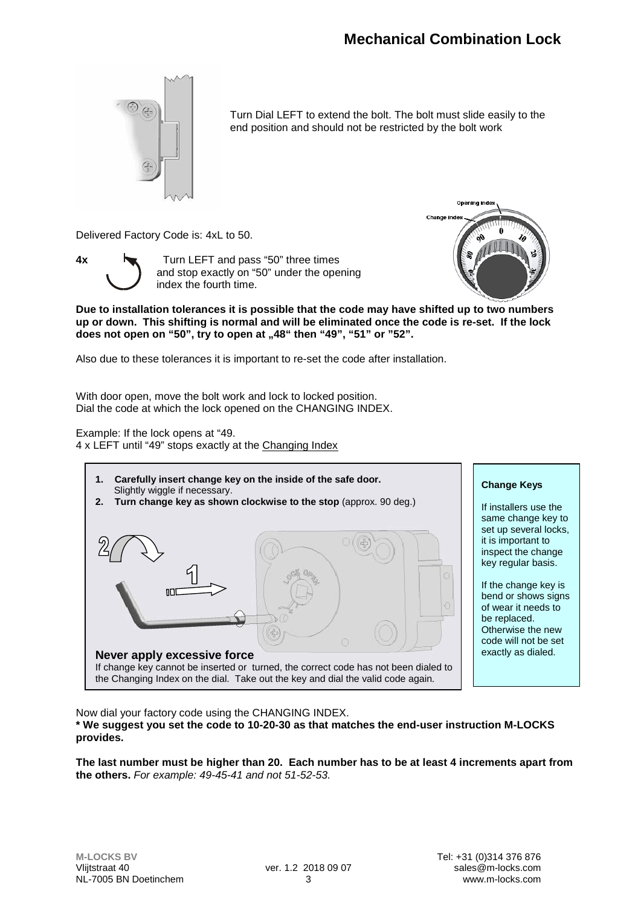

Turn Dial LEFT to extend the bolt. The bolt must slide easily to the end position and should not be restricted by the bolt work

Delivered Factory Code is: 4xL to 50.



**4x** Turn LEFT and pass "50" three times and stop exactly on "50" under the opening index the fourth time.



**Due to installation tolerances it is possible that the code may have shifted up to two numbers up or down. This shifting is normal and will be eliminated once the code is re-set. If the lock**  does not open on "50", try to open at "48" then "49", "51" or "52".

Also due to these tolerances it is important to re-set the code after installation.

With door open, move the bolt work and lock to locked position. Dial the code at which the lock opened on the CHANGING INDEX.

Example: If the lock opens at "49. 4 x LEFT until "49" stops exactly at the Changing Index



#### **Change Keys**

If installers use the same change key to set up several locks, it is important to inspect the change key regular basis.

If the change key is bend or shows signs of wear it needs to be replaced. Otherwise the new code will not be set exactly as dialed.

Now dial your factory code using the CHANGING INDEX.

**\* We suggest you set the code to 10-20-30 as that matches the end-user instruction M-LOCKS provides.**

**The last number must be higher than 20. Each number has to be at least 4 increments apart from the others.** *For example: 49-45-41 and not 51-52-53.*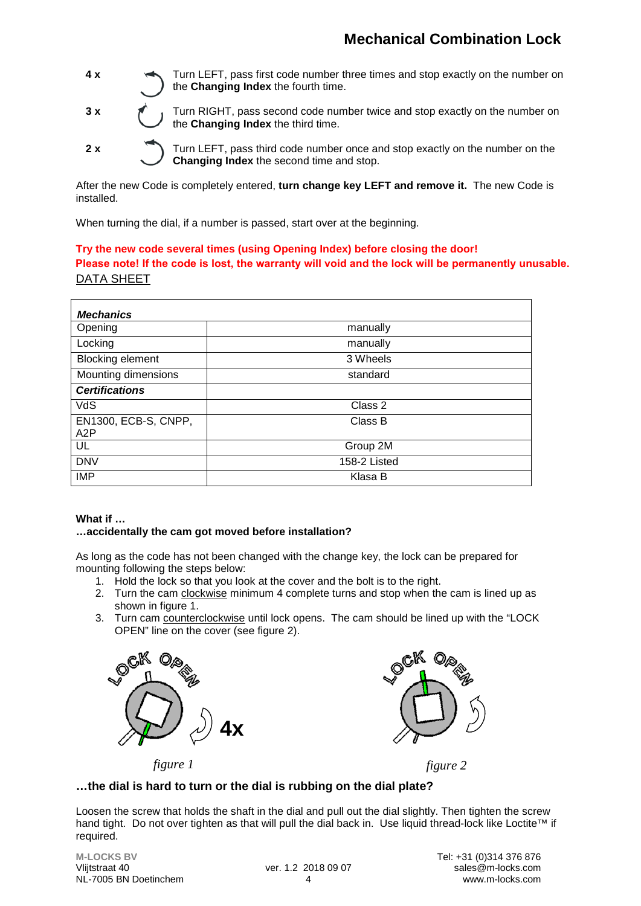

**3 x** Turn RIGHT, pass second code number twice and stop exactly on the number on the **Changing Index** the third time.

**2 x** Turn LEFT, pass third code number once and stop exactly on the number on the **Changing Index** the second time and stop.

After the new Code is completely entered, **turn change key LEFT and remove it.** The new Code is installed.

When turning the dial, if a number is passed, start over at the beginning.

**Try the new code several times (using Opening Index) before closing the door!** DATA SHEET **Please note! If the code is lost, the warranty will void and the lock will be permanently unusable.**

| <b>Mechanics</b>            |              |
|-----------------------------|--------------|
| Opening                     | manually     |
| Locking                     | manually     |
| <b>Blocking element</b>     | 3 Wheels     |
| Mounting dimensions         | standard     |
| <b>Certifications</b>       |              |
| VdS                         | Class 2      |
| EN1300, ECB-S, CNPP,<br>A2P | Class B      |
| UL                          | Group 2M     |
| <b>DNV</b>                  | 158-2 Listed |
| <b>IMP</b>                  | Klasa B      |

#### **What if …**

#### **…accidentally the cam got moved before installation?**

As long as the code has not been changed with the change key, the lock can be prepared for mounting following the steps below:

- 1. Hold the lock so that you look at the cover and the bolt is to the right.
- 2. Turn the cam clockwise minimum 4 complete turns and stop when the cam is lined up as shown in figure 1.
- 3. Turn cam counterclockwise until lock opens. The cam should be lined up with the "LOCK OPEN" line on the cover (see figure 2).





*figure 1 figure 2*

#### **…the dial is hard to turn or the dial is rubbing on the dial plate?**

Loosen the screw that holds the shaft in the dial and pull out the dial slightly. Then tighten the screw hand tight. Do not over tighten as that will pull the dial back in. Use liquid thread-lock like Loctite™ if required.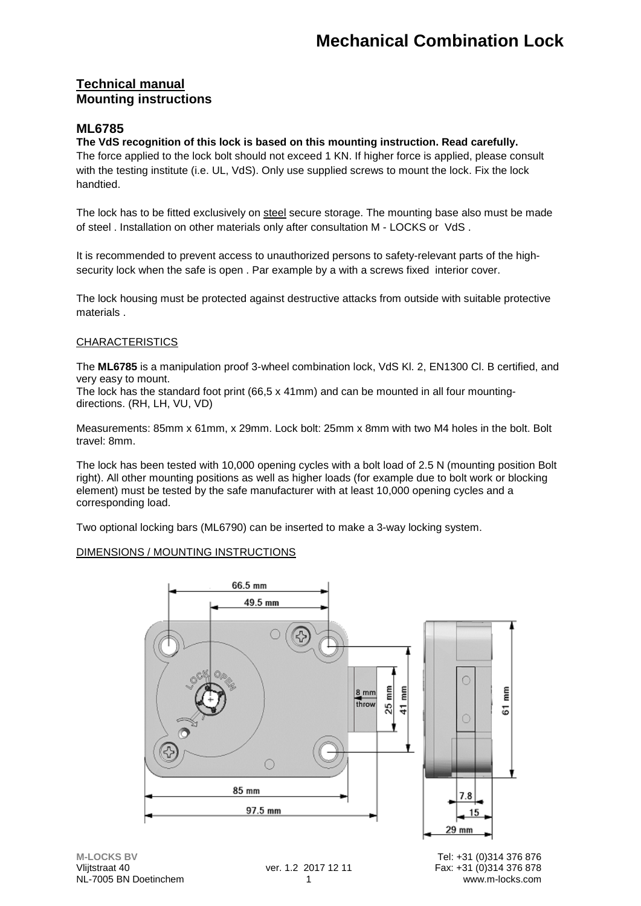## **Technical manual Mounting instructions**

## **ML6785**

#### **The VdS recognition of this lock is based on this mounting instruction. Read carefully.**

The force applied to the lock bolt should not exceed 1 KN. If higher force is applied, please consult with the testing institute (i.e. UL, VdS). Only use supplied screws to mount the lock. Fix the lock handtied.

The lock has to be fitted exclusively on steel secure storage. The mounting base also must be made of steel . Installation on other materials only after consultation M - LOCKS or VdS .

It is recommended to prevent access to unauthorized persons to safety-relevant parts of the highsecurity lock when the safe is open . Par example by a with a screws fixed interior cover.

The lock housing must be protected against destructive attacks from outside with suitable protective materials .

#### CHARACTERISTICS

The **ML6785** is a manipulation proof 3-wheel combination lock, VdS Kl. 2, EN1300 Cl. B certified, and very easy to mount.

The lock has the standard foot print  $(66.5 \times 41 \text{mm})$  and can be mounted in all four mountingdirections. (RH, LH, VU, VD)

Measurements: 85mm x 61mm, x 29mm. Lock bolt: 25mm x 8mm with two M4 holes in the bolt. Bolt travel: 8mm.

The lock has been tested with 10,000 opening cycles with a bolt load of 2.5 N (mounting position Bolt right). All other mounting positions as well as higher loads (for example due to bolt work or blocking element) must be tested by the safe manufacturer with at least 10,000 opening cycles and a corresponding load.

Two optional locking bars (ML6790) can be inserted to make a 3-way locking system.

#### DIMENSIONS / MOUNTING INSTRUCTIONS

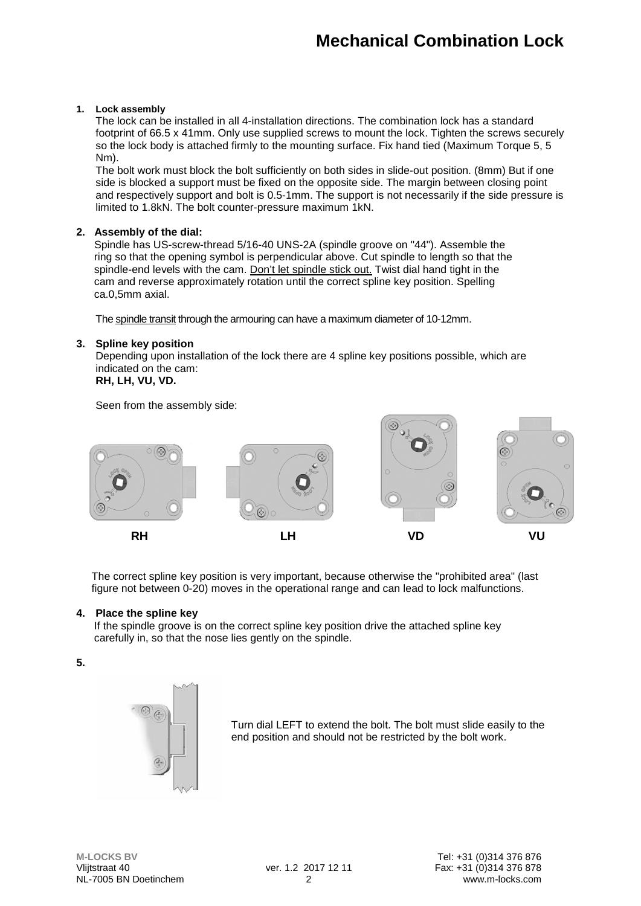#### **1. Lock assembly**

The lock can be installed in all 4-installation directions. The combination lock has a standard footprint of 66.5 x 41mm. Only use supplied screws to mount the lock. Tighten the screws securely so the lock body is attached firmly to the mounting surface. Fix hand tied (Maximum Torque 5, 5 Nm).

The bolt work must block the bolt sufficiently on both sides in slide-out position. (8mm) But if one side is blocked a support must be fixed on the opposite side. The margin between closing point and respectively support and bolt is 0.5-1mm. The support is not necessarily if the side pressure is limited to 1.8kN. The bolt counter-pressure maximum 1kN.

#### **2. Assembly of the dial:**

 Spindle has US-screw-thread 5/16-40 UNS-2A (spindle groove on "44"). Assemble the ring so that the opening symbol is perpendicular above. Cut spindle to length so that the spindle-end levels with the cam. Don't let spindle stick out. Twist dial hand tight in the cam and reverse approximately rotation until the correct spline key position. Spelling ca.0,5mm axial.

The spindle transit through the armouring can have a maximum diameter of 10-12mm.

#### **3. Spline key position**

Depending upon installation of the lock there are 4 spline key positions possible, which are indicated on the cam:

## **RH, LH, VU, VD.**

#### Seen from the assembly side:



The correct spline key position is very important, because otherwise the "prohibited area" (last figure not between 0-20) moves in the operational range and can lead to lock malfunctions.

#### **4. Place the spline key**

 If the spindle groove is on the correct spline key position drive the attached spline key carefully in, so that the nose lies gently on the spindle.

#### **5.**



Turn dial LEFT to extend the bolt. The bolt must slide easily to the end position and should not be restricted by the bolt work.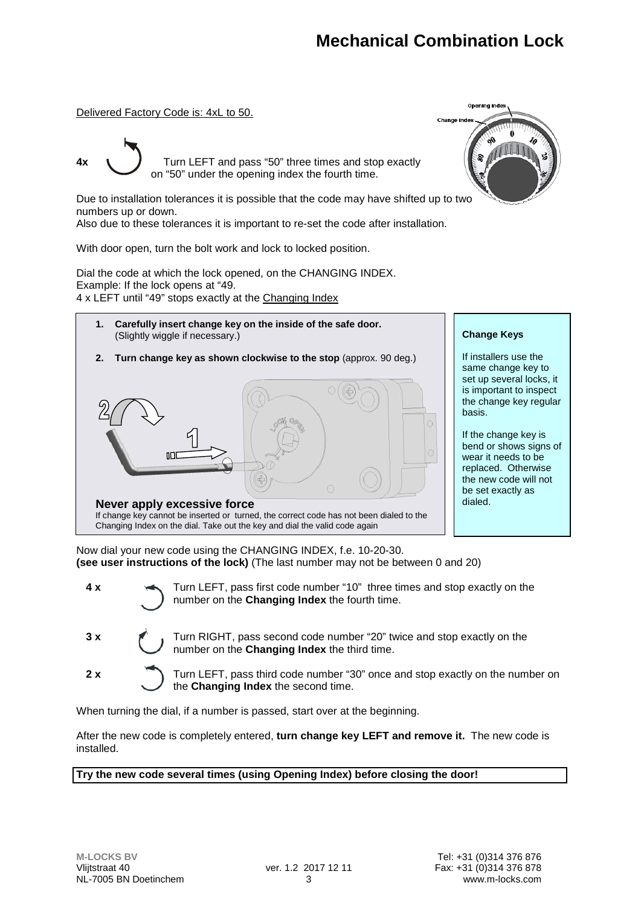Delivered Factory Code is: 4xL to 50.

**4x**  $\sqrt{ }$  Turn LEFT and pass "50" three times and stop exactly on "50" under the opening index the fourth time.

Due to installation tolerances it is possible that the code may have shifted up to two numbers up or down.

Also due to these tolerances it is important to re-set the code after installation.

With door open, turn the bolt work and lock to locked position.

Dial the code at which the lock opened, on the CHANGING INDEX. Example: If the lock opens at "49. 4 x LEFT until "49" stops exactly at the Changing Index



**Change Keys**

If installers use the same change key to set up several locks, it is important to inspect the change key regular basis.

If the change key is bend or shows signs of wear it needs to be replaced. Otherwise the new code will not be set exactly as dialed.

Now dial your new code using the CHANGING INDEX, f.e. 10-20-30. **(see user instructions of the lock)** (The last number may not be between 0 and 20)

| 4 x | Turn LEFT, pass first code number "10" three times and stop exactly on the number on the Changing Index the fourth time. |
|-----|--------------------------------------------------------------------------------------------------------------------------|
|     | 3 x Turn RIGHT, pass second code number "20" twice and stop exactly on the number on the Changing Index the third time.  |
| 2x  | Turn LEFT, pass third code number "30" once and stop exactly on the number on                                            |

the **Changing Index** the second time.

When turning the dial, if a number is passed, start over at the beginning.

After the new code is completely entered, **turn change key LEFT and remove it.** The new code is installed.

**Try the new code several times (using Opening Index) before closing the door!**